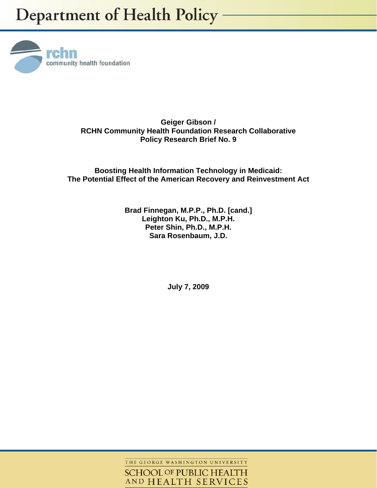

**Geiger Gibson / RCHN Community Health Foundation Research Collaborative Policy Research Brief No. 9** 

**Boosting Health Information Technology in Medicaid: The Potential Effect of the American Recovery and Reinvestment Act** 

## **Brad Finnegan, M.P.P., Ph.D. [cand.] Leighton Ku, Ph.D., M.P.H. Peter Shin, Ph.D., M.P.H. Sara Rosenbaum, J.D.**

**July 7, 2009** 

THE GEORGE WASHINGTON UNIVERSITY **SCHOOL OF PUBLIC HEALTH** AND HEALTH SERVICES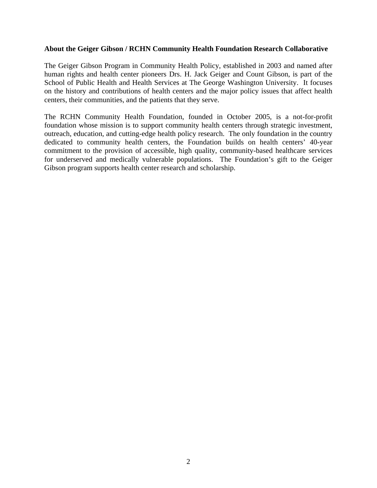### **About the Geiger Gibson / RCHN Community Health Foundation Research Collaborative**

The Geiger Gibson Program in Community Health Policy, established in 2003 and named after human rights and health center pioneers Drs. H. Jack Geiger and Count Gibson, is part of the School of Public Health and Health Services at The George Washington University. It focuses on the history and contributions of health centers and the major policy issues that affect health centers, their communities, and the patients that they serve.

The RCHN Community Health Foundation, founded in October 2005, is a not-for-profit foundation whose mission is to support community health centers through strategic investment, outreach, education, and cutting-edge health policy research. The only foundation in the country dedicated to community health centers, the Foundation builds on health centers' 40-year commitment to the provision of accessible, high quality, community-based healthcare services for underserved and medically vulnerable populations. The Foundation's gift to the Geiger Gibson program supports health center research and scholarship.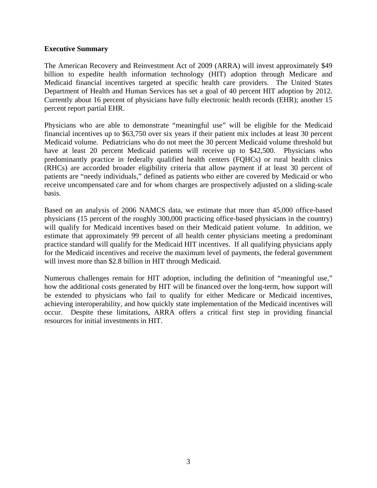### **Executive Summary**

The American Recovery and Reinvestment Act of 2009 (ARRA) will invest approximately \$49 billion to expedite health information technology (HIT) adoption through Medicare and Medicaid financial incentives targeted at specific health care providers. The United States Department of Health and Human Services has set a goal of 40 percent HIT adoption by 2012. Currently about 16 percent of physicians have fully electronic health records (EHR); another 15 percent report partial EHR.

Physicians who are able to demonstrate "meaningful use" will be eligible for the Medicaid financial incentives up to \$63,750 over six years if their patient mix includes at least 30 percent Medicaid volume. Pediatricians who do not meet the 30 percent Medicaid volume threshold but have at least 20 percent Medicaid patients will receive up to \$42,500. Physicians who predominantly practice in federally qualified health centers (FQHCs) or rural health clinics (RHCs) are accorded broader eligibility criteria that allow payment if at least 30 percent of patients are "needy individuals," defined as patients who either are covered by Medicaid or who receive uncompensated care and for whom charges are prospectively adjusted on a sliding-scale basis.

Based on an analysis of 2006 NAMCS data, we estimate that more than 45,000 office-based physicians (15 percent of the roughly 300,000 practicing office-based physicians in the country) will qualify for Medicaid incentives based on their Medicaid patient volume. In addition, we estimate that approximately 99 percent of all health center physicians meeting a predominant practice standard will qualify for the Medicaid HIT incentives. If all qualifying physicians apply for the Medicaid incentives and receive the maximum level of payments, the federal government will invest more than \$2.8 billion in HIT through Medicaid.

Numerous challenges remain for HIT adoption, including the definition of "meaningful use," how the additional costs generated by HIT will be financed over the long-term, how support will be extended to physicians who fail to qualify for either Medicare or Medicaid incentives, achieving interoperability, and how quickly state implementation of the Medicaid incentives will occur. Despite these limitations, ARRA offers a critical first step in providing financial resources for initial investments in HIT.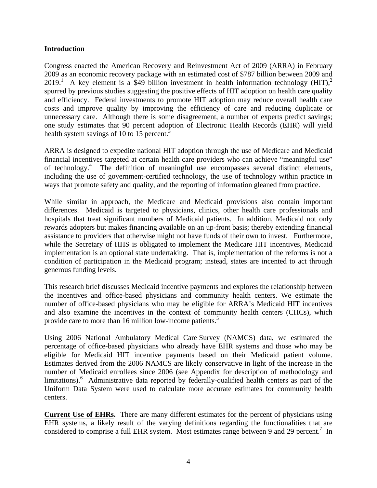### **Introduction**

Congress enacted the American Recovery and Reinvestment Act of 2009 (ARRA) in February 2009 as an economic recovery package with an estimated cost of \$787 billion between 2009 and 2019.<sup>1</sup> A key element is a \$49 billion investment in health information technology (HIT),<sup>2</sup> spurred by previous studies suggesting the positive effects of HIT adoption on health care quality and efficiency. Federal investments to promote HIT adoption may reduce overall health care costs and improve quality by improving the efficiency of care and reducing duplicate or unnecessary care. Although there is some disagreement, a number of experts predict savings; one study estimates that 90 percent adoption of Electronic Health Records (EHR) will yield health system savings of 10 to 15 percent.<sup>3</sup>

ARRA is designed to expedite national HIT adoption through the use of Medicare and Medicaid financial incentives targeted at certain health care providers who can achieve "meaningful use" of technology.4 The definition of meaningful use encompasses several distinct elements, including the use of government-certified technology, the use of technology within practice in ways that promote safety and quality, and the reporting of information gleaned from practice.

While similar in approach, the Medicare and Medicaid provisions also contain important differences. Medicaid is targeted to physicians, clinics, other health care professionals and hospitals that treat significant numbers of Medicaid patients. In addition, Medicaid not only rewards adopters but makes financing available on an up-front basis; thereby extending financial assistance to providers that otherwise might not have funds of their own to invest. Furthermore, while the Secretary of HHS is obligated to implement the Medicare HIT incentives, Medicaid implementation is an optional state undertaking. That is, implementation of the reforms is not a condition of participation in the Medicaid program; instead, states are incented to act through generous funding levels.

This research brief discusses Medicaid incentive payments and explores the relationship between the incentives and office-based physicians and community health centers. We estimate the number of office-based physicians who may be eligible for ARRA's Medicaid HIT incentives and also examine the incentives in the context of community health centers (CHCs), which provide care to more than 16 million low-income patients.<sup>5</sup>

Using 2006 National Ambulatory Medical Care Survey (NAMCS) data, we estimated the percentage of office-based physicians who already have EHR systems and those who may be eligible for Medicaid HIT incentive payments based on their Medicaid patient volume. Estimates derived from the 2006 NAMCS are likely conservative in light of the increase in the number of Medicaid enrollees since 2006 (see Appendix for description of methodology and limitations).<sup>6</sup> Administrative data reported by federally-qualified health centers as part of the Uniform Data System were used to calculate more accurate estimates for community health centers.

**Current Use of EHRs.** There are many different estimates for the percent of physicians using EHR systems, a likely result of the varying definitions regarding the functionalities that are considered to comprise a full EHR system. Most estimates range between 9 and 29 percent.<sup>7</sup> In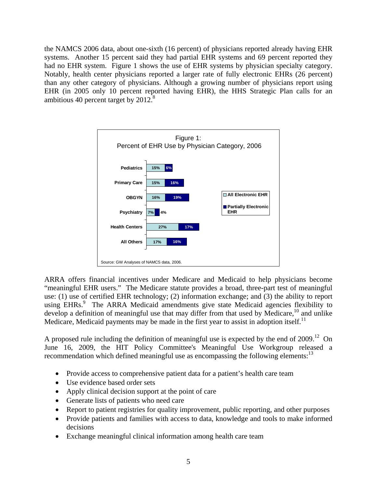the NAMCS 2006 data, about one-sixth (16 percent) of physicians reported already having EHR systems. Another 15 percent said they had partial EHR systems and 69 percent reported they had no EHR system. Figure 1 shows the use of EHR systems by physician specialty category. Notably, health center physicians reported a larger rate of fully electronic EHRs (26 percent) than any other category of physicians. Although a growing number of physicians report using EHR (in 2005 only 10 percent reported having EHR), the HHS Strategic Plan calls for an ambitious 40 percent target by  $2012<sup>8</sup>$ 



ARRA offers financial incentives under Medicare and Medicaid to help physicians become "meaningful EHR users." The Medicare statute provides a broad, three-part test of meaningful use: (1) use of certified EHR technology; (2) information exchange; and (3) the ability to report using EHRs.<sup>9</sup> The ARRA Medicaid amendments give state Medicaid agencies flexibility to develop a definition of meaningful use that may differ from that used by Medicare,<sup>10</sup> and unlike Medicare, Medicaid payments may be made in the first year to assist in adoption itself.<sup>11</sup>

A proposed rule including the definition of meaningful use is expected by the end of  $2009$ .<sup>12</sup> On June 16, 2009, the HIT Policy Committee's Meaningful Use Workgroup released a recommendation which defined meaningful use as encompassing the following elements: $^{13}$ 

- Provide access to comprehensive patient data for a patient's health care team
- Use evidence based order sets
- Apply clinical decision support at the point of care
- Generate lists of patients who need care
- Report to patient registries for quality improvement, public reporting, and other purposes
- Provide patients and families with access to data, knowledge and tools to make informed decisions
- Exchange meaningful clinical information among health care team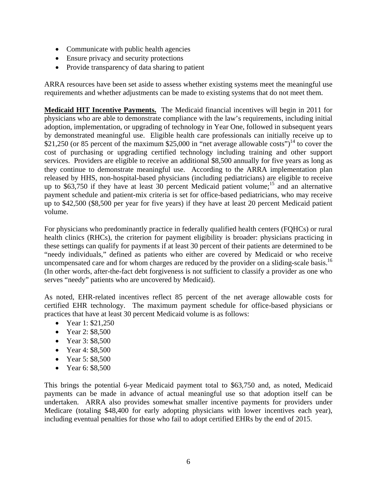- Communicate with public health agencies
- Ensure privacy and security protections
- Provide transparency of data sharing to patient

ARRA resources have been set aside to assess whether existing systems meet the meaningful use requirements and whether adjustments can be made to existing systems that do not meet them.

**Medicaid HIT Incentive Payments.** The Medicaid financial incentives will begin in 2011 for physicians who are able to demonstrate compliance with the law's requirements, including initial adoption, implementation, or upgrading of technology in Year One, followed in subsequent years by demonstrated meaningful use. Eligible health care professionals can initially receive up to \$21,250 (or 85 percent of the maximum \$25,000 in "net average allowable costs")<sup>14</sup> to cover the cost of purchasing or upgrading certified technology including training and other support services. Providers are eligible to receive an additional \$8,500 annually for five years as long as they continue to demonstrate meaningful use. According to the ARRA implementation plan released by HHS, non-hospital-based physicians (including pediatricians) are eligible to receive up to  $$63,750$  if they have at least 30 percent Medicaid patient volume;<sup>15</sup> and an alternative payment schedule and patient-mix criteria is set for office-based pediatricians, who may receive up to \$42,500 (\$8,500 per year for five years) if they have at least 20 percent Medicaid patient volume.

For physicians who predominantly practice in federally qualified health centers (FQHCs) or rural health clinics (RHCs), the criterion for payment eligibility is broader: physicians practicing in these settings can qualify for payments if at least 30 percent of their patients are determined to be "needy individuals," defined as patients who either are covered by Medicaid or who receive uncompensated care and for whom charges are reduced by the provider on a sliding-scale basis.<sup>16</sup> (In other words, after-the-fact debt forgiveness is not sufficient to classify a provider as one who serves "needy" patients who are uncovered by Medicaid).

As noted, EHR-related incentives reflect 85 percent of the net average allowable costs for certified EHR technology. The maximum payment schedule for office-based physicians or practices that have at least 30 percent Medicaid volume is as follows:

- Year 1: \$21,250
- Year 2: \$8,500
- Year 3: \$8,500
- Year 4: \$8,500
- Year 5: \$8,500
- Year 6: \$8,500

This brings the potential 6-year Medicaid payment total to \$63,750 and, as noted, Medicaid payments can be made in advance of actual meaningful use so that adoption itself can be undertaken. ARRA also provides somewhat smaller incentive payments for providers under Medicare (totaling \$48,400 for early adopting physicians with lower incentives each year), including eventual penalties for those who fail to adopt certified EHRs by the end of 2015.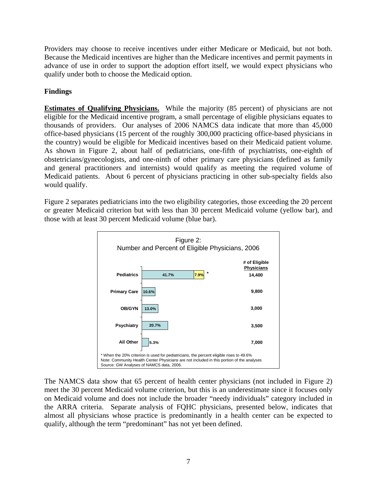Providers may choose to receive incentives under either Medicare or Medicaid, but not both. Because the Medicaid incentives are higher than the Medicare incentives and permit payments in advance of use in order to support the adoption effort itself, we would expect physicians who qualify under both to choose the Medicaid option.

# **Findings**

**Estimates of Qualifying Physicians.** While the majority (85 percent) of physicians are not eligible for the Medicaid incentive program, a small percentage of eligible physicians equates to thousands of providers. Our analyses of 2006 NAMCS data indicate that more than 45,000 office-based physicians (15 percent of the roughly 300,000 practicing office-based physicians in the country) would be eligible for Medicaid incentives based on their Medicaid patient volume. As shown in Figure 2, about half of pediatricians, one-fifth of psychiatrists, one-eighth of obstetricians/gynecologists, and one-ninth of other primary care physicians (defined as family and general practitioners and internists) would qualify as meeting the required volume of Medicaid patients. About 6 percent of physicians practicing in other sub-specialty fields also would qualify.

Figure 2 separates pediatricians into the two eligibility categories, those exceeding the 20 percent or greater Medicaid criterion but with less than 30 percent Medicaid volume (yellow bar), and those with at least 30 percent Medicaid volume (blue bar).



The NAMCS data show that 65 percent of health center physicians (not included in Figure 2) meet the 30 percent Medicaid volume criterion, but this is an underestimate since it focuses only on Medicaid volume and does not include the broader "needy individuals" category included in the ARRA criteria. Separate analysis of FQHC physicians, presented below, indicates that almost all physicians whose practice is predominantly in a health center can be expected to qualify, although the term "predominant" has not yet been defined.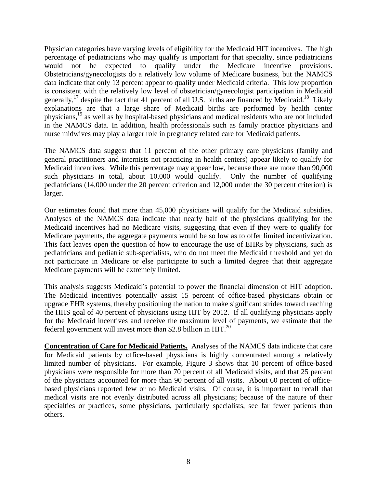Physician categories have varying levels of eligibility for the Medicaid HIT incentives. The high percentage of pediatricians who may qualify is important for that specialty, since pediatricians would not be expected to qualify under the Medicare incentive provisions. Obstetricians/gynecologists do a relatively low volume of Medicare business, but the NAMCS data indicate that only 13 percent appear to qualify under Medicaid criteria. This low proportion is consistent with the relatively low level of obstetrician/gynecologist participation in Medicaid generally,<sup>17</sup> despite the fact that 41 percent of all U.S. births are financed by Medicaid.<sup>18</sup> Likely explanations are that a large share of Medicaid births are performed by health center physicians,19 as well as by hospital-based physicians and medical residents who are not included in the NAMCS data. In addition, health professionals such as family practice physicians and nurse midwives may play a larger role in pregnancy related care for Medicaid patients.

The NAMCS data suggest that 11 percent of the other primary care physicians (family and general practitioners and internists not practicing in health centers) appear likely to qualify for Medicaid incentives. While this percentage may appear low, because there are more than 90,000 such physicians in total, about 10,000 would qualify. Only the number of qualifying pediatricians (14,000 under the 20 percent criterion and 12,000 under the 30 percent criterion) is larger.

Our estimates found that more than 45,000 physicians will qualify for the Medicaid subsidies. Analyses of the NAMCS data indicate that nearly half of the physicians qualifying for the Medicaid incentives had no Medicare visits, suggesting that even if they were to qualify for Medicare payments, the aggregate payments would be so low as to offer limited incentivization. This fact leaves open the question of how to encourage the use of EHRs by physicians, such as pediatricians and pediatric sub-specialists, who do not meet the Medicaid threshold and yet do not participate in Medicare or else participate to such a limited degree that their aggregate Medicare payments will be extremely limited.

This analysis suggests Medicaid's potential to power the financial dimension of HIT adoption. The Medicaid incentives potentially assist 15 percent of office-based physicians obtain or upgrade EHR systems, thereby positioning the nation to make significant strides toward reaching the HHS goal of 40 percent of physicians using HIT by 2012. If all qualifying physicians apply for the Medicaid incentives and receive the maximum level of payments, we estimate that the federal government will invest more than \$2.8 billion in  $HIT<sup>20</sup>$ .

**Concentration of Care for Medicaid Patients.** Analyses of the NAMCS data indicate that care for Medicaid patients by office-based physicians is highly concentrated among a relatively limited number of physicians. For example, Figure 3 shows that 10 percent of office-based physicians were responsible for more than 70 percent of all Medicaid visits, and that 25 percent of the physicians accounted for more than 90 percent of all visits. About 60 percent of officebased physicians reported few or no Medicaid visits. Of course, it is important to recall that medical visits are not evenly distributed across all physicians; because of the nature of their specialties or practices, some physicians, particularly specialists, see far fewer patients than others.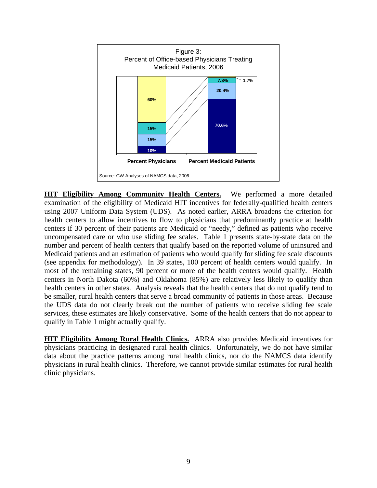

**HIT Eligibility Among Community Health Centers.** We performed a more detailed examination of the eligibility of Medicaid HIT incentives for federally-qualified health centers using 2007 Uniform Data System (UDS). As noted earlier, ARRA broadens the criterion for health centers to allow incentives to flow to physicians that predominantly practice at health centers if 30 percent of their patients are Medicaid or "needy," defined as patients who receive uncompensated care or who use sliding fee scales. Table 1 presents state-by-state data on the number and percent of health centers that qualify based on the reported volume of uninsured and Medicaid patients and an estimation of patients who would qualify for sliding fee scale discounts (see appendix for methodology). In 39 states, 100 percent of health centers would qualify. In most of the remaining states, 90 percent or more of the health centers would qualify. Health centers in North Dakota (60%) and Oklahoma (85%) are relatively less likely to qualify than health centers in other states. Analysis reveals that the health centers that do not qualify tend to be smaller, rural health centers that serve a broad community of patients in those areas. Because the UDS data do not clearly break out the number of patients who receive sliding fee scale services, these estimates are likely conservative. Some of the health centers that do not appear to qualify in Table 1 might actually qualify.

**HIT Eligibility Among Rural Health Clinics.** ARRA also provides Medicaid incentives for physicians practicing in designated rural health clinics. Unfortunately, we do not have similar data about the practice patterns among rural health clinics, nor do the NAMCS data identify physicians in rural health clinics. Therefore, we cannot provide similar estimates for rural health clinic physicians.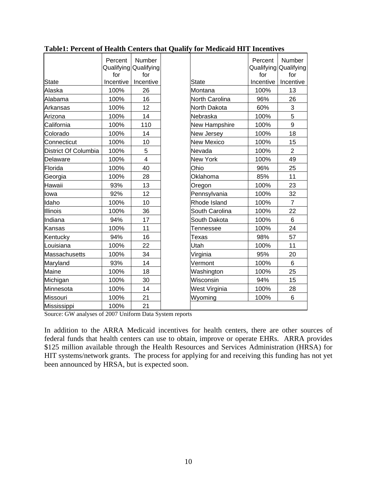|                      | Percent<br>for | Number<br>Qualifying Qualifying<br>for |              |                      | Percent<br>for | Number<br>Qualifying Qualifying<br>for |
|----------------------|----------------|----------------------------------------|--------------|----------------------|----------------|----------------------------------------|
| <b>State</b>         | Incentive      | Incentive                              |              | State                | Incentive      | Incentive                              |
| Alaska               | 100%           | 26                                     |              | Montana              | 100%           | 13                                     |
| Alabama              | 100%           | 16                                     |              | North Carolina       | 96%            | 26                                     |
| Arkansas             | 100%           | 12                                     |              | North Dakota         | 60%            | 3                                      |
| Arizona              | 100%           | 14                                     |              | Nebraska             | 100%           | 5                                      |
| California           | 100%           | 110                                    |              | <b>New Hampshire</b> | 100%           | 9                                      |
| Colorado             | 100%           | 14                                     |              | New Jersey           | 100%           | 18                                     |
| Connecticut          | 100%           | 10                                     |              | <b>New Mexico</b>    | 100%           | 15                                     |
| District Of Columbia | 100%           | 5                                      |              | Nevada               | 100%           | $\overline{2}$                         |
| Delaware             | 100%           | $\overline{4}$                         |              | New York             | 100%           | 49                                     |
| Florida              | 100%           | 40                                     |              | Ohio                 | 96%            | 25                                     |
| Georgia              | 100%           | 28                                     |              | Oklahoma             | 85%            | 11                                     |
| Hawaii               | 93%            | 13                                     |              | Oregon               | 100%           | 23                                     |
| lowa                 | 92%            | 12                                     |              | Pennsylvania         | 100%           | 32                                     |
| Idaho                | 100%           | 10                                     | Rhode Island |                      | 100%           | $\overline{7}$                         |
| Illinois             | 100%           | 36                                     |              | South Carolina       | 100%           | 22                                     |
| Indiana              | 94%            | 17                                     |              | South Dakota         | 100%           | $6\phantom{a}$                         |
| Kansas               | 100%           | 11                                     |              | Tennessee            | 100%           | 24                                     |
| Kentucky             | 94%            | 16                                     |              | Texas                | 98%            | 57                                     |
| Louisiana            | 100%           | 22                                     |              | Utah                 | 100%           | 11                                     |
| <b>Massachusetts</b> | 100%           | 34                                     |              | Virginia             | 95%            | 20                                     |
| Maryland             | 93%            | 14                                     |              | Vermont              | 100%           | 6                                      |
| Maine                | 100%           | 18                                     |              | Washington           | 100%           | 25                                     |
| Michigan             | 100%           | 30                                     |              | Wisconsin            | 94%            | 15                                     |
| Minnesota            | 100%           | 14                                     |              | West Virginia        | 100%           | 28                                     |
| Missouri             | 100%           | 21                                     |              | Wyoming              | 100%           | $6\phantom{1}$                         |
| Mississippi          | 100%           | 21                                     |              |                      |                |                                        |

## **Table1: Percent of Health Centers that Qualify for Medicaid HIT Incentives**

Source: GW analyses of 2007 Uniform Data System reports

In addition to the ARRA Medicaid incentives for health centers, there are other sources of federal funds that health centers can use to obtain, improve or operate EHRs. ARRA provides \$125 million available through the Health Resources and Services Administration (HRSA) for HIT systems/network grants. The process for applying for and receiving this funding has not yet been announced by HRSA, but is expected soon.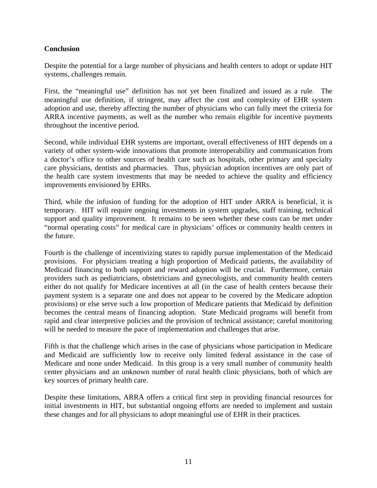## **Conclusion**

Despite the potential for a large number of physicians and health centers to adopt or update HIT systems, challenges remain.

First, the "meaningful use" definition has not yet been finalized and issued as a rule. The meaningful use definition, if stringent, may affect the cost and complexity of EHR system adoption and use, thereby affecting the number of physicians who can fully meet the criteria for ARRA incentive payments, as well as the number who remain eligible for incentive payments throughout the incentive period.

Second, while individual EHR systems are important, overall effectiveness of HIT depends on a variety of other system-wide innovations that promote interoperability and communication from a doctor's office to other sources of health care such as hospitals, other primary and specialty care physicians, dentists and pharmacies. Thus, physician adoption incentives are only part of the health care system investments that may be needed to achieve the quality and efficiency improvements envisioned by EHRs.

Third, while the infusion of funding for the adoption of HIT under ARRA is beneficial, it is temporary. HIT will require ongoing investments in system upgrades, staff training, technical support and quality improvement. It remains to be seen whether these costs can be met under "normal operating costs" for medical care in physicians' offices or community health centers in the future.

Fourth is the challenge of incentivizing states to rapidly pursue implementation of the Medicaid provisions. For physicians treating a high proportion of Medicaid patients, the availability of Medicaid financing to both support and reward adoption will be crucial. Furthermore, certain providers such as pediatricians, obstetricians and gynecologists, and community health centers either do not qualify for Medicare incentives at all (in the case of health centers because their payment system is a separate one and does not appear to be covered by the Medicare adoption provisions) or else serve such a low proportion of Medicare patients that Medicaid by definition becomes the central means of financing adoption. State Medicaid programs will benefit from rapid and clear interpretive policies and the provision of technical assistance; careful monitoring will be needed to measure the pace of implementation and challenges that arise.

Fifth is that the challenge which arises in the case of physicians whose participation in Medicare and Medicaid are sufficiently low to receive only limited federal assistance in the case of Medicare and none under Medicaid. In this group is a very small number of community health center physicians and an unknown number of rural health clinic physicians, both of which are key sources of primary health care.

Despite these limitations, ARRA offers a critical first step in providing financial resources for initial investments in HIT, but substantial ongoing efforts are needed to implement and sustain these changes and for all physicians to adopt meaningful use of EHR in their practices.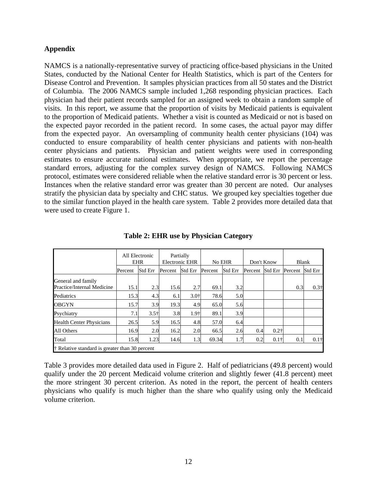### **Appendix**

NAMCS is a nationally-representative survey of practicing office-based physicians in the United States, conducted by the National Center for Health Statistics, which is part of the Centers for Disease Control and Prevention. It samples physician practices from all 50 states and the District of Columbia. The 2006 NAMCS sample included 1,268 responding physician practices. Each physician had their patient records sampled for an assigned week to obtain a random sample of visits. In this report, we assume that the proportion of visits by Medicaid patients is equivalent to the proportion of Medicaid patients. Whether a visit is counted as Medicaid or not is based on the expected payor recorded in the patient record. In some cases, the actual payor may differ from the expected payor. An oversampling of community health center physicians (104) was conducted to ensure comparability of health center physicians and patients with non-health center physicians and patients. Physician and patient weights were used in corresponding estimates to ensure accurate national estimates. When appropriate, we report the percentage standard errors, adjusting for the complex survey design of NAMCS. Following NAMCS protocol, estimates were considered reliable when the relative standard error is 30 percent or less. Instances when the relative standard error was greater than 30 percent are noted. Our analyses stratify the physician data by specialty and CHC status. We grouped key specialties together due to the similar function played in the health care system. Table 2 provides more detailed data that were used to create Figure 1.

|                                                  | All Electronic<br><b>EHR</b> |         | Partially<br><b>Electronic EHR</b> |                | No EHR  |                | Don't Know      |              | <b>Blank</b> |                |
|--------------------------------------------------|------------------------------|---------|------------------------------------|----------------|---------|----------------|-----------------|--------------|--------------|----------------|
|                                                  | Percent                      | Std Err | Percent                            | <b>Std Err</b> | Percent | <b>Std Err</b> | Percent Std Err |              | Percent      | <b>Std Err</b> |
| General and family<br>Practice/Internal Medicine | 15.1                         | 2.3     | 15.6                               | 2.7            | 69.1    | 3.2            |                 |              | 0.3          | $0.3\dagger$   |
| Pediatrics                                       | 15.3                         | 4.3     | 6.1                                | $3.0^{+}$      | 78.6    | 5.0            |                 |              |              |                |
| <b>OBGYN</b>                                     | 15.7                         | 3.9     | 19.3                               | 4.9            | 65.0    | 5.6            |                 |              |              |                |
| Psychiatry                                       | 7.1                          | $3.5+$  | 3.8                                | 1.9†           | 89.1    | 3.9            |                 |              |              |                |
| <b>Health Center Physicians</b>                  | 26.5                         | 5.9     | 16.5                               | 4.8            | 57.0    | 6.4            |                 |              |              |                |
| All Others                                       | 16.9                         | 2.0     | 16.2                               | 2.0            | 66.5    | 2.6            | 0.4             | $0.2\dagger$ |              |                |
| Total                                            | 15.8                         | 1.23    | 14.6                               | 1.3            | 69.34   | 1.7            | 0.2             | $0.1\dagger$ | 0.1          | $0.1+$         |
| † Relative standard is greater than 30 percent   |                              |         |                                    |                |         |                |                 |              |              |                |

**Table 2: EHR use by Physician Category** 

Table 3 provides more detailed data used in Figure 2. Half of pediatricians (49.8 percent) would qualify under the 20 percent Medicaid volume criterion and slightly fewer (41.8 percent) meet the more stringent 30 percent criterion. As noted in the report, the percent of health centers physicians who qualify is much higher than the share who qualify using only the Medicaid volume criterion.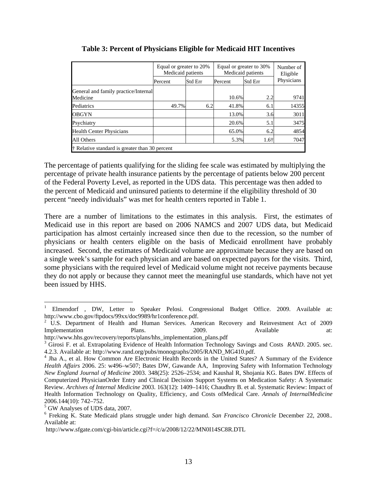|                                                  | Equal or greater to 20%<br>Medicaid patients |         | Equal or greater to 30%<br>Medicaid patients | Number of<br>Eligible |            |  |  |  |
|--------------------------------------------------|----------------------------------------------|---------|----------------------------------------------|-----------------------|------------|--|--|--|
|                                                  | Percent                                      | Std Err | Percent                                      | Std Err               | Physicians |  |  |  |
| General and family practice/Internal<br>Medicine |                                              |         | 10.6%                                        | 2.2                   | 9741       |  |  |  |
| Pediatrics                                       | 49.7%                                        | 6.2     | 41.8%                                        | 6.1                   | 14355      |  |  |  |
| <b>OBGYN</b>                                     |                                              |         | 13.0%                                        | 3.6                   | 3011       |  |  |  |
| Psychiatry                                       |                                              |         | 20.6%                                        | 5.1                   | 3475       |  |  |  |
| <b>Health Center Physicians</b>                  |                                              |         | 65.0%                                        | 6.2                   | 4854       |  |  |  |
| All Others                                       |                                              |         | 5.3%                                         | $1.6+$                | 7047       |  |  |  |
| † Relative standard is greater than 30 percent   |                                              |         |                                              |                       |            |  |  |  |

**Table 3: Percent of Physicians Eligible for Medicaid HIT Incentives** 

The percentage of patients qualifying for the sliding fee scale was estimated by multiplying the percentage of private health insurance patients by the percentage of patients below 200 percent of the Federal Poverty Level, as reported in the UDS data. This percentage was then added to the percent of Medicaid and uninsured patients to determine if the eligibility threshold of 30 percent "needy individuals" was met for health centers reported in Table 1.

There are a number of limitations to the estimates in this analysis. First, the estimates of Medicaid use in this report are based on 2006 NAMCS and 2007 UDS data, but Medicaid participation has almost certainly increased since then due to the recession, so the number of physicians or health centers eligible on the basis of Medicaid enrollment have probably increased. Second, the estimates of Medicaid volume are approximate because they are based on a single week's sample for each physician and are based on expected payors for the visits. Third, some physicians with the required level of Medicaid volume might not receive payments because they do not apply or because they cannot meet the meaningful use standards, which have not yet been issued by HHS.

 $\overline{a}$ 

<sup>1</sup> Elmendorf , DW, Letter to Speaker Pelosi. Congressional Budget Office. 2009. Available at: http://www.cbo.gov/ftpdocs/99xx/doc9989/hr1conference.pdf.

<sup>&</sup>lt;sup>2</sup> U.S. Department of Health and Human Services. American Recovery and Reinvestment Act of 2009 Implementation Plans. 2009. Available at:

http://www.hhs.gov/recovery/reports/plans/hhs\_implementation\_plans.pdf 3

<sup>&</sup>lt;sup>3</sup> Girosi F. et al. Extrapolating Evidence of Health Information Technology Savings and Costs *RAND*. 2005. sec. 4.2.3. Available at: http://www.rand.org/pubs/monographs/2005/RAND\_MG410.pdf.

<sup>&</sup>lt;sup>4</sup> Jha A., et al. How Common Are Electronic Health Records in the United States? A Summary of the Evidence *Health Affairs* 2006. 25: w496–w507; Bates DW, Gawande AA, Improving Safety with Information Technology *New England Journal of Medicine* 2003. 348(25): 2526–2534; and Kaushal R, Shojania KG. Bates DW. Effects of Computerized PhysicianOrder Entry and Clinical Decision Support Systems on Medication Safety: A Systematic Review. *Archives of Internal Medicine* 2003. 163(12): 1409–1416; Chaudhry B. et al. Systematic Review: Impact of Health Information Technology on Quality, Efficiency, and Costs ofMedical Care. *Annals of InternalMedicine*  2006.144(10): 742–752.

<sup>5</sup> GW Analyses of UDS data, 2007.

<sup>6</sup> Freking K. State Medicaid plans struggle under high demand. *San Francisco Chronicle* December 22, 2008.*.*  Available at:

http://www.sfgate.com/cgi-bin/article.cgi?f=/c/a/2008/12/22/MN0I14SC8R.DTL